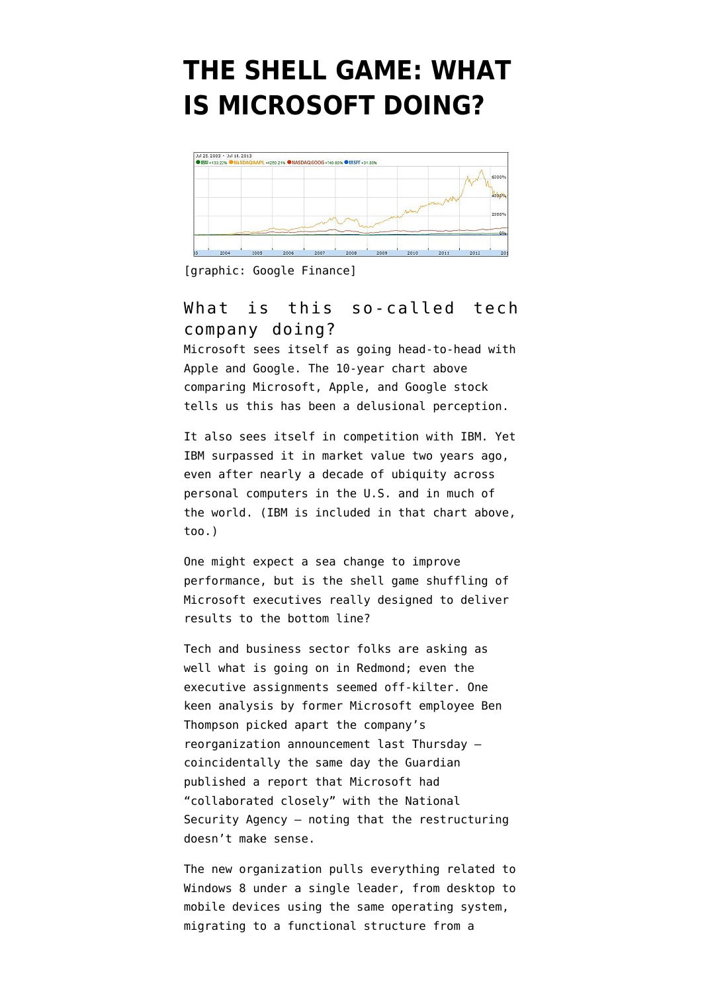## **[THE SHELL GAME: WHAT](https://www.emptywheel.net/2013/07/19/the-shell-game-what-is-microsoft-doing/) [IS MICROSOFT DOING?](https://www.emptywheel.net/2013/07/19/the-shell-game-what-is-microsoft-doing/)**



[graphic: Google Finance]

## What is this so-called tech company doing?

Microsoft sees itself as going head-to-head with Apple and Google. The [10-year chart](https://www.google.com/finance?q=NASDAQ%3AMSFT) above comparing Microsoft, Apple, and Google stock tells us this has been a delusional perception.

It also sees itself in competition with IBM. Yet IBM [surpassed it in market value](http://in.reuters.com/article/2011/05/23/idINIndia-57218020110523) two years ago, even after nearly a decade of ubiquity across personal computers in the U.S. and in much of the world. (IBM is included in that chart above, too.)

One might expect a sea change to improve performance, but is the [shell game shuffling of](http://www.theverge.com/2013/7/11/4486730/microsoft-reorganization-2013-ballmer-one-microsoft) [Microsoft executives](http://www.theverge.com/2013/7/11/4486730/microsoft-reorganization-2013-ballmer-one-microsoft) really designed to deliver results to the bottom line?

Tech and business sector folks are asking as well what is going on in Redmond; even the executive assignments seemed off-kilter. One keen analysis by former Microsoft employee Ben Thompson picked apart the company's reorganization announcement last Thursday coincidentally the same day the Guardian [published a report](http://www.guardian.co.uk/world/2013/jul/11/microsoft-nsa-collaboration-user-data) that Microsoft had "collaborated closely" with the National Security Agency — noting tha[t the restructuring](http://stratechery.com/2013/why-microsofts-reorganization-is-a-bad-idea/) [doesn't make sense.](http://stratechery.com/2013/why-microsofts-reorganization-is-a-bad-idea/)

The new organization pulls everything related to Windows 8 under a single leader, from desktop to mobile devices using the same operating system, migrating to a functional structure from a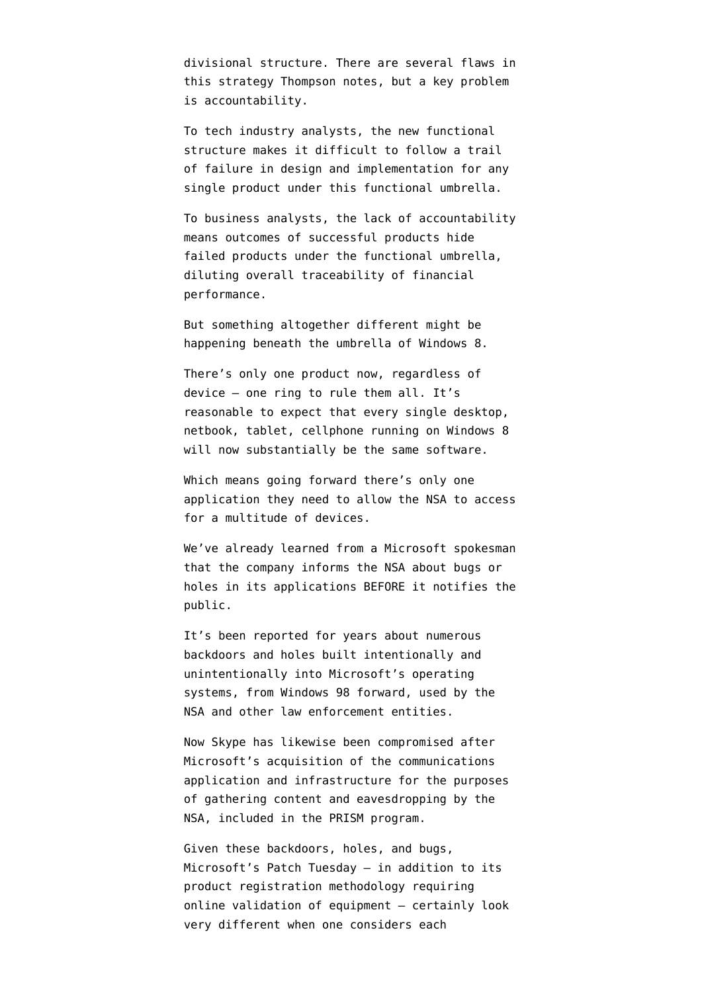divisional structure. There are several flaws in this strategy Thompson notes, but a key problem is accountability.

To tech industry analysts, the new functional structure makes it difficult to follow a trail of failure in design and implementation for any single product under this functional umbrella.

To business analysts, the lack of accountability means outcomes of successful products hide failed products under the functional umbrella, diluting overall traceability of financial performance.

But something altogether different might be happening beneath the umbrella of Windows 8.

There's only one product now, regardless of device — one ring to rule them all. It's reasonable to expect that every single desktop, netbook, tablet, cellphone running on Windows 8 will now substantially be the same software.

Which means going forward there's only one application they need to allow the NSA to access for a multitude of devices.

We've already learned from a Microsoft spokesman that the [company informs the NSA about bugs or](http://www.bloomberg.com/news/2013-06-14/u-s-agencies-said-to-swap-data-with-thousands-of-firms.html) [holes in its applications](http://www.bloomberg.com/news/2013-06-14/u-s-agencies-said-to-swap-data-with-thousands-of-firms.html) BEFORE it notifies the public.

It's been [reported for years about numerous](http://techrights.org/2008/04/30/binary-bridges-and-security/) [backdoors and holes](http://techrights.org/2008/04/30/binary-bridges-and-security/) built intentionally and unintentionally into Microsoft's operating systems, from Windows 98 forward, used by the NSA and other law enforcement entities.

Now [Skype has likewise been compromised](http://www.theverge.com/2013/7/11/4514938/nsa-could-pull-email-or-video-calls-from-microsofts-servers-says-guardian/in/4167369) after Microsoft's acquisition of the communications application and infrastructure for the purposes of gathering content and eavesdropping by the NSA, included in the PRISM program.

Given these backdoors, holes, and bugs, Microsoft's Patch Tuesday — in addition to its product registration methodology requiring online validation of equipment — certainly look very different when one considers each